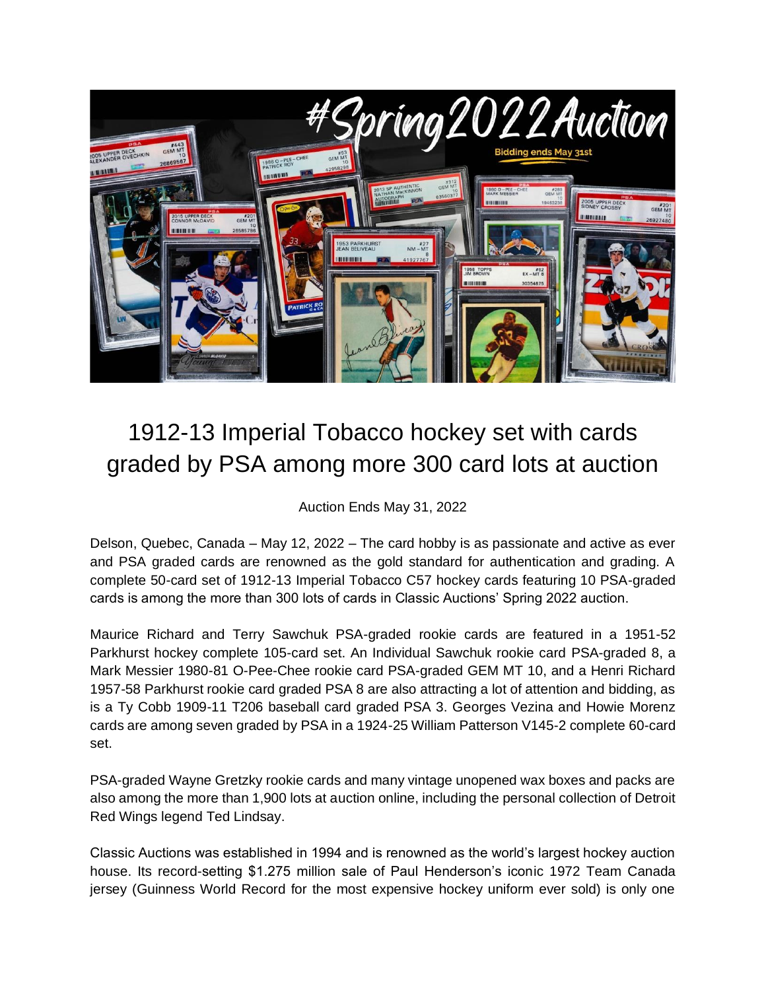

## 1912-13 Imperial Tobacco hockey set with cards graded by PSA among more 300 card lots at auction

Auction Ends May 31, 2022

Delson, Quebec, Canada – May 12, 2022 – The card hobby is as passionate and active as ever and PSA graded cards are renowned as the gold standard for authentication and grading. A complete 50-card set of 1912-13 Imperial Tobacco C57 hockey cards featuring 10 PSA-graded cards is among the more than 300 lots of cards in Classic Auctions' Spring 2022 auction.

Maurice Richard and Terry Sawchuk PSA-graded rookie cards are featured in a 1951-52 Parkhurst hockey complete 105-card set. An Individual Sawchuk rookie card PSA-graded 8, a Mark Messier 1980-81 O-Pee-Chee rookie card PSA-graded GEM MT 10, and a Henri Richard 1957-58 Parkhurst rookie card graded PSA 8 are also attracting a lot of attention and bidding, as is a Ty Cobb 1909-11 T206 baseball card graded PSA 3. Georges Vezina and Howie Morenz cards are among seven graded by PSA in a 1924-25 William Patterson V145-2 complete 60-card set.

PSA-graded Wayne Gretzky rookie cards and many vintage unopened wax boxes and packs are also among the more than 1,900 lots at auction online, including the personal collection of Detroit Red Wings legend Ted Lindsay.

Classic Auctions was established in 1994 and is renowned as the world's largest hockey auction house. Its record-setting \$1.275 million sale of Paul Henderson's iconic 1972 Team Canada jersey (Guinness World Record for the most expensive hockey uniform ever sold) is only one